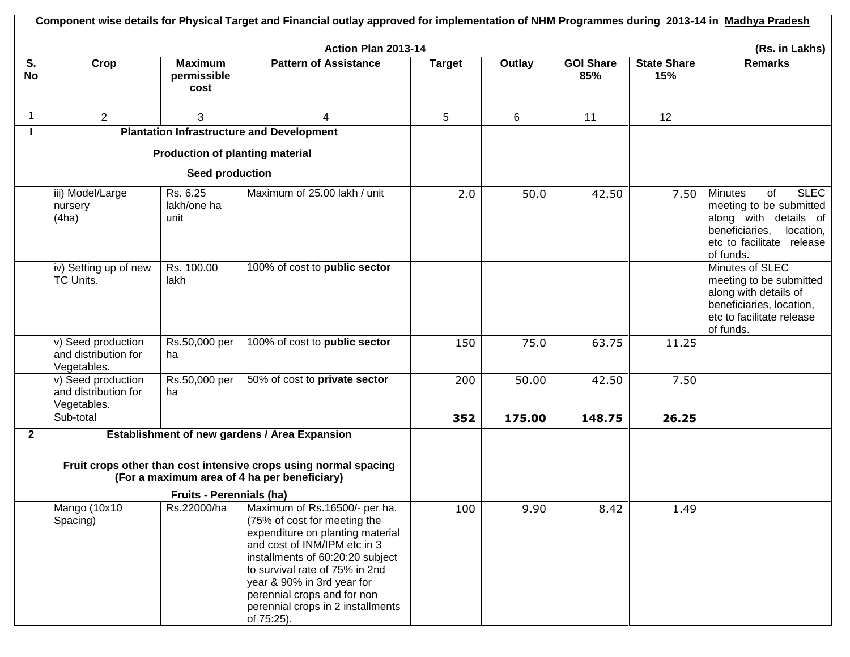|                 |                                                                                                                  |                                        | Action Plan 2013-14                                                                                                                                                                                                                                                                                                     |               |        |                         |                           | (Rs. in Lakhs)                                                                                                                                                   |
|-----------------|------------------------------------------------------------------------------------------------------------------|----------------------------------------|-------------------------------------------------------------------------------------------------------------------------------------------------------------------------------------------------------------------------------------------------------------------------------------------------------------------------|---------------|--------|-------------------------|---------------------------|------------------------------------------------------------------------------------------------------------------------------------------------------------------|
| S.<br><b>No</b> | Crop                                                                                                             | <b>Maximum</b><br>permissible<br>cost  | <b>Pattern of Assistance</b>                                                                                                                                                                                                                                                                                            | <b>Target</b> | Outlay | <b>GOI Share</b><br>85% | <b>State Share</b><br>15% | <b>Remarks</b>                                                                                                                                                   |
| 1               | $\overline{2}$                                                                                                   | 3                                      | 4                                                                                                                                                                                                                                                                                                                       | 5             | 6      | 11                      | 12                        |                                                                                                                                                                  |
|                 |                                                                                                                  |                                        | <b>Plantation Infrastructure and Development</b>                                                                                                                                                                                                                                                                        |               |        |                         |                           |                                                                                                                                                                  |
|                 |                                                                                                                  | <b>Production of planting material</b> |                                                                                                                                                                                                                                                                                                                         |               |        |                         |                           |                                                                                                                                                                  |
|                 |                                                                                                                  | Seed production                        |                                                                                                                                                                                                                                                                                                                         |               |        |                         |                           |                                                                                                                                                                  |
|                 | iii) Model/Large<br>nursery<br>(4ha)                                                                             | Rs. 6.25<br>lakh/one ha<br>unit        | Maximum of 25.00 lakh / unit                                                                                                                                                                                                                                                                                            | 2.0           | 50.0   | 42.50                   | 7.50                      | <b>SLEC</b><br><b>Minutes</b><br>of<br>meeting to be submitted<br>along with details of<br>beneficiaries,<br>location,<br>etc to facilitate release<br>of funds. |
|                 | iv) Setting up of new<br>TC Units.                                                                               | Rs. 100.00<br>lakh                     | 100% of cost to public sector                                                                                                                                                                                                                                                                                           |               |        |                         |                           | Minutes of SLEC<br>meeting to be submitted<br>along with details of<br>beneficiaries, location,<br>etc to facilitate release<br>of funds.                        |
|                 | v) Seed production<br>and distribution for<br>Vegetables.                                                        | Rs.50,000 per<br>ha                    | 100% of cost to public sector                                                                                                                                                                                                                                                                                           | 150           | 75.0   | 63.75                   | 11.25                     |                                                                                                                                                                  |
|                 | v) Seed production<br>and distribution for<br>Vegetables.                                                        | Rs.50,000 per<br>ha                    | 50% of cost to private sector                                                                                                                                                                                                                                                                                           | 200           | 50.00  | 42.50                   | 7.50                      |                                                                                                                                                                  |
|                 | Sub-total                                                                                                        |                                        |                                                                                                                                                                                                                                                                                                                         | 352           | 175.00 | 148.75                  | 26.25                     |                                                                                                                                                                  |
| $\overline{2}$  |                                                                                                                  |                                        | Establishment of new gardens / Area Expansion                                                                                                                                                                                                                                                                           |               |        |                         |                           |                                                                                                                                                                  |
|                 | Fruit crops other than cost intensive crops using normal spacing<br>(For a maximum area of 4 ha per beneficiary) |                                        |                                                                                                                                                                                                                                                                                                                         |               |        |                         |                           |                                                                                                                                                                  |
|                 |                                                                                                                  | <b>Fruits - Perennials (ha)</b>        |                                                                                                                                                                                                                                                                                                                         |               |        |                         |                           |                                                                                                                                                                  |
|                 | Mango (10x10<br>Spacing)                                                                                         | Rs.22000/ha                            | Maximum of Rs.16500/- per ha.<br>(75% of cost for meeting the<br>expenditure on planting material<br>and cost of INM/IPM etc in 3<br>installments of 60:20:20 subject<br>to survival rate of 75% in 2nd<br>year & 90% in 3rd year for<br>perennial crops and for non<br>perennial crops in 2 installments<br>of 75:25). | 100           | 9.90   | 8.42                    | 1.49                      |                                                                                                                                                                  |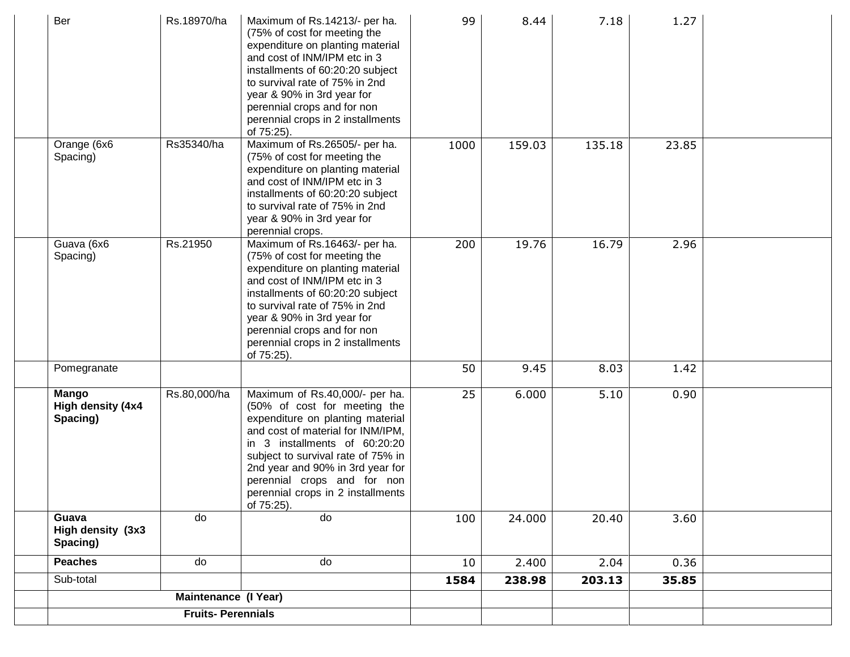| Ber                                    | Rs.18970/ha                 | Maximum of Rs.14213/- per ha.<br>(75% of cost for meeting the<br>expenditure on planting material<br>and cost of INM/IPM etc in 3<br>installments of 60:20:20 subject<br>to survival rate of 75% in 2nd<br>year & 90% in 3rd year for<br>perennial crops and for non<br>perennial crops in 2 installments<br>of 75:25).              | 99   | 8.44   | 7.18   | 1.27  |  |
|----------------------------------------|-----------------------------|--------------------------------------------------------------------------------------------------------------------------------------------------------------------------------------------------------------------------------------------------------------------------------------------------------------------------------------|------|--------|--------|-------|--|
| Orange (6x6<br>Spacing)                | Rs35340/ha                  | Maximum of Rs.26505/- per ha.<br>(75% of cost for meeting the<br>expenditure on planting material<br>and cost of INM/IPM etc in 3<br>installments of 60:20:20 subject<br>to survival rate of 75% in 2nd<br>year & 90% in 3rd year for<br>perennial crops.                                                                            | 1000 | 159.03 | 135.18 | 23.85 |  |
| Guava (6x6<br>Spacing)                 | Rs.21950                    | Maximum of Rs.16463/- per ha.<br>(75% of cost for meeting the<br>expenditure on planting material<br>and cost of INM/IPM etc in 3<br>installments of 60:20:20 subject<br>to survival rate of 75% in 2nd<br>year & 90% in 3rd year for<br>perennial crops and for non<br>perennial crops in 2 installments<br>of 75:25).              | 200  | 19.76  | 16.79  | 2.96  |  |
| Pomegranate                            |                             |                                                                                                                                                                                                                                                                                                                                      | 50   | 9.45   | 8.03   | 1.42  |  |
| Mango<br>High density (4x4<br>Spacing) | Rs.80,000/ha                | Maximum of Rs.40,000/- per ha.<br>(50% of cost for meeting the<br>expenditure on planting material<br>and cost of material for INM/IPM,<br>in 3 installments of 60:20:20<br>subject to survival rate of 75% in<br>2nd year and 90% in 3rd year for<br>perennial crops and for non<br>perennial crops in 2 installments<br>of 75:25). | 25   | 6.000  | 5.10   | 0.90  |  |
| Guava<br>High density (3x3<br>Spacing) | do                          | do                                                                                                                                                                                                                                                                                                                                   | 100  | 24.000 | 20.40  | 3.60  |  |
| <b>Peaches</b>                         | do                          | do                                                                                                                                                                                                                                                                                                                                   | 10   | 2.400  | 2.04   | 0.36  |  |
| Sub-total                              |                             |                                                                                                                                                                                                                                                                                                                                      | 1584 | 238.98 | 203.13 | 35.85 |  |
|                                        | <b>Maintenance (I Year)</b> |                                                                                                                                                                                                                                                                                                                                      |      |        |        |       |  |
|                                        | <b>Fruits-Perennials</b>    |                                                                                                                                                                                                                                                                                                                                      |      |        |        |       |  |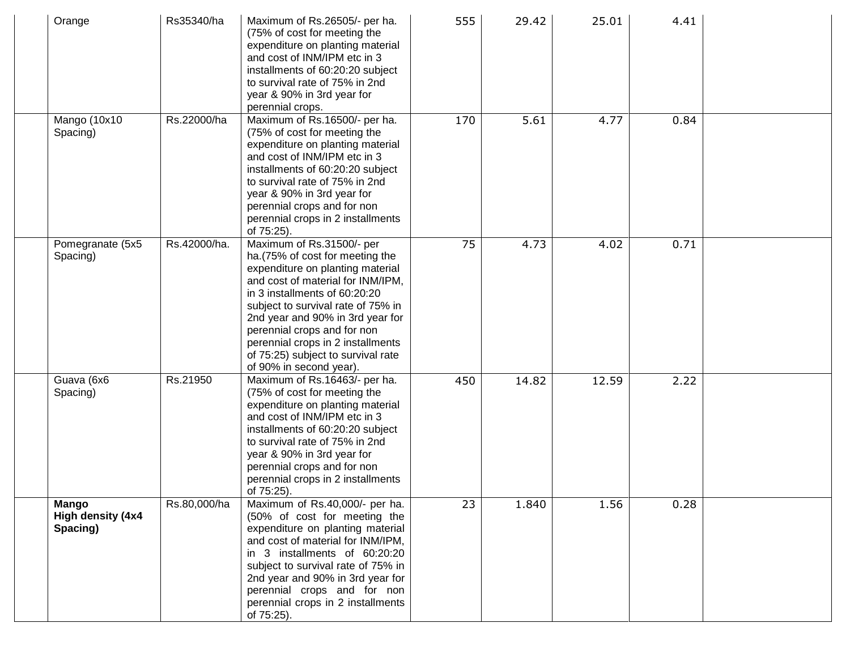| Orange                                        | Rs35340/ha   | Maximum of Rs.26505/- per ha.<br>(75% of cost for meeting the<br>expenditure on planting material<br>and cost of INM/IPM etc in 3<br>installments of 60:20:20 subject<br>to survival rate of 75% in 2nd<br>year & 90% in 3rd year for<br>perennial crops.                                                                                                                              | 555 | 29.42 | 25.01 | 4.41 |  |
|-----------------------------------------------|--------------|----------------------------------------------------------------------------------------------------------------------------------------------------------------------------------------------------------------------------------------------------------------------------------------------------------------------------------------------------------------------------------------|-----|-------|-------|------|--|
| Mango (10x10<br>Spacing)                      | Rs.22000/ha  | Maximum of Rs.16500/- per ha.<br>(75% of cost for meeting the<br>expenditure on planting material<br>and cost of INM/IPM etc in 3<br>installments of 60:20:20 subject<br>to survival rate of 75% in 2nd<br>year & 90% in 3rd year for<br>perennial crops and for non<br>perennial crops in 2 installments<br>of 75:25).                                                                | 170 | 5.61  | 4.77  | 0.84 |  |
| Pomegranate (5x5<br>Spacing)                  | Rs.42000/ha. | Maximum of Rs.31500/- per<br>ha. (75% of cost for meeting the<br>expenditure on planting material<br>and cost of material for INM/IPM,<br>in 3 installments of 60:20:20<br>subject to survival rate of 75% in<br>2nd year and 90% in 3rd year for<br>perennial crops and for non<br>perennial crops in 2 installments<br>of 75:25) subject to survival rate<br>of 90% in second year). | 75  | 4.73  | 4.02  | 0.71 |  |
| Guava (6x6<br>Spacing)                        | Rs.21950     | Maximum of Rs.16463/- per ha.<br>(75% of cost for meeting the<br>expenditure on planting material<br>and cost of INM/IPM etc in 3<br>installments of 60:20:20 subject<br>to survival rate of 75% in 2nd<br>year & 90% in 3rd year for<br>perennial crops and for non<br>perennial crops in 2 installments<br>of 75:25).                                                                | 450 | 14.82 | 12.59 | 2.22 |  |
| <b>Mango</b><br>High density (4x4<br>Spacing) | Rs.80,000/ha | Maximum of Rs.40,000/- per ha.<br>(50% of cost for meeting the<br>expenditure on planting material<br>and cost of material for INM/IPM,<br>in 3 installments of 60:20:20<br>subject to survival rate of 75% in<br>2nd year and 90% in 3rd year for<br>perennial crops and for non<br>perennial crops in 2 installments<br>of 75:25).                                                   | 23  | 1.840 | 1.56  | 0.28 |  |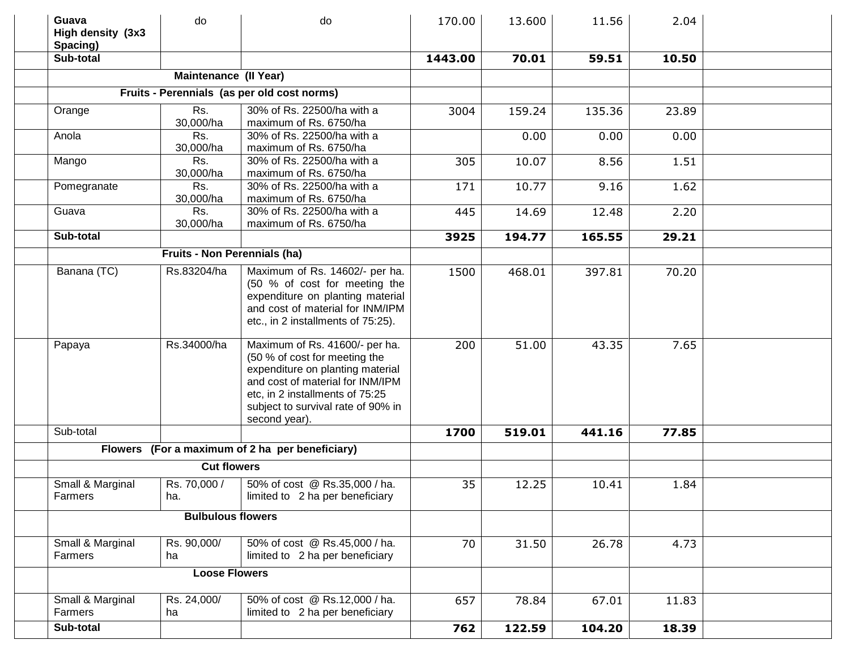| Guava<br>High density (3x3<br>Spacing) | do                           | do                                                                                                                                                                                                                                | 170.00  | 13.600 | 11.56  | 2.04  |  |
|----------------------------------------|------------------------------|-----------------------------------------------------------------------------------------------------------------------------------------------------------------------------------------------------------------------------------|---------|--------|--------|-------|--|
| Sub-total                              |                              |                                                                                                                                                                                                                                   | 1443.00 | 70.01  | 59.51  | 10.50 |  |
|                                        | <b>Maintenance (II Year)</b> |                                                                                                                                                                                                                                   |         |        |        |       |  |
|                                        |                              | Fruits - Perennials (as per old cost norms)                                                                                                                                                                                       |         |        |        |       |  |
| Orange                                 | Rs.                          | 30% of Rs. 22500/ha with a                                                                                                                                                                                                        | 3004    | 159.24 | 135.36 | 23.89 |  |
|                                        | 30,000/ha                    | maximum of Rs. 6750/ha                                                                                                                                                                                                            |         |        |        |       |  |
| Anola                                  | Rs.                          | 30% of Rs. 22500/ha with a                                                                                                                                                                                                        |         | 0.00   | 0.00   | 0.00  |  |
|                                        | 30,000/ha                    | maximum of Rs. 6750/ha                                                                                                                                                                                                            |         |        |        |       |  |
| Mango                                  | Rs.                          | 30% of Rs. 22500/ha with a                                                                                                                                                                                                        | 305     | 10.07  | 8.56   | 1.51  |  |
|                                        | 30,000/ha                    | maximum of Rs. 6750/ha                                                                                                                                                                                                            |         |        |        |       |  |
| Pomegranate                            | Rs.                          | 30% of Rs. 22500/ha with a                                                                                                                                                                                                        | 171     | 10.77  | 9.16   | 1.62  |  |
|                                        | 30,000/ha                    | maximum of Rs. 6750/ha                                                                                                                                                                                                            |         |        |        |       |  |
| Guava                                  | Rs.                          | 30% of Rs. 22500/ha with a                                                                                                                                                                                                        | 445     | 14.69  | 12.48  | 2.20  |  |
|                                        | 30,000/ha                    | maximum of Rs. 6750/ha                                                                                                                                                                                                            |         |        |        |       |  |
| Sub-total                              |                              |                                                                                                                                                                                                                                   | 3925    | 194.77 | 165.55 | 29.21 |  |
|                                        | Fruits - Non Perennials (ha) |                                                                                                                                                                                                                                   |         |        |        |       |  |
| Banana (TC)                            | Rs.83204/ha                  | Maximum of Rs. 14602/- per ha.<br>(50 % of cost for meeting the<br>expenditure on planting material<br>and cost of material for INM/IPM<br>etc., in 2 installments of 75:25).                                                     | 1500    | 468.01 | 397.81 | 70.20 |  |
| Papaya                                 | Rs.34000/ha                  | Maximum of Rs. 41600/- per ha.<br>(50 % of cost for meeting the<br>expenditure on planting material<br>and cost of material for INM/IPM<br>etc, in 2 installments of 75:25<br>subject to survival rate of 90% in<br>second year). | 200     | 51.00  | 43.35  | 7.65  |  |
| Sub-total                              |                              |                                                                                                                                                                                                                                   | 1700    | 519.01 | 441.16 | 77.85 |  |
|                                        |                              | Flowers (For a maximum of 2 ha per beneficiary)                                                                                                                                                                                   |         |        |        |       |  |
|                                        | <b>Cut flowers</b>           |                                                                                                                                                                                                                                   |         |        |        |       |  |
| Small & Marginal<br>Farmers            | Rs. 70,000 /<br>ha.          | 50% of cost @ Rs.35,000 / ha.<br>limited to 2 ha per beneficiary                                                                                                                                                                  | 35      | 12.25  | 10.41  | 1.84  |  |
| <b>Bulbulous flowers</b>               |                              |                                                                                                                                                                                                                                   |         |        |        |       |  |
| Small & Marginal<br>Farmers            | Rs. 90,000/<br>ha            | 50% of cost @ Rs.45,000 / ha.<br>limited to 2 ha per beneficiary                                                                                                                                                                  | 70      | 31.50  | 26.78  | 4.73  |  |
|                                        | <b>Loose Flowers</b>         |                                                                                                                                                                                                                                   |         |        |        |       |  |
| Small & Marginal<br>Farmers            | Rs. 24,000/<br>ha            | 50% of cost @ Rs.12,000 / ha.<br>limited to 2 ha per beneficiary                                                                                                                                                                  | 657     | 78.84  | 67.01  | 11.83 |  |
| Sub-total                              |                              |                                                                                                                                                                                                                                   | 762     | 122.59 | 104.20 | 18.39 |  |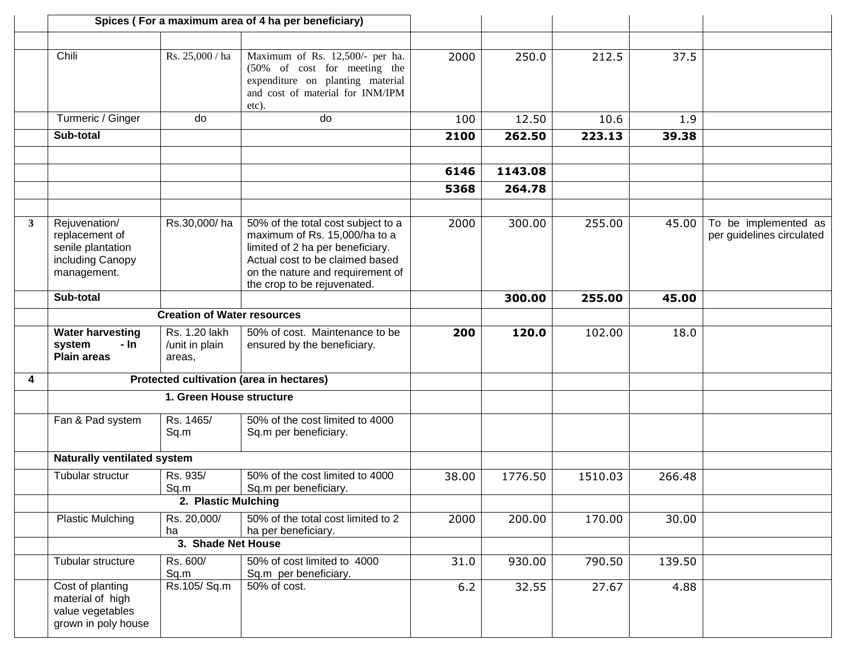|                |                                                                                         |                                           | Spices (For a maximum area of 4 ha per beneficiary)                                                                                                                                                           |       |         |         |        |                                                   |
|----------------|-----------------------------------------------------------------------------------------|-------------------------------------------|---------------------------------------------------------------------------------------------------------------------------------------------------------------------------------------------------------------|-------|---------|---------|--------|---------------------------------------------------|
|                |                                                                                         |                                           |                                                                                                                                                                                                               |       |         |         |        |                                                   |
|                | Chili                                                                                   | Rs. 25,000 / ha                           | Maximum of Rs. 12,500/- per ha.<br>(50% of cost for meeting the<br>expenditure on planting material<br>and cost of material for INM/IPM<br>etc).                                                              | 2000  | 250.0   | 212.5   | 37.5   |                                                   |
|                | Turmeric / Ginger                                                                       | do                                        | do                                                                                                                                                                                                            | 100   | 12.50   | 10.6    | 1.9    |                                                   |
|                | Sub-total                                                                               |                                           |                                                                                                                                                                                                               | 2100  | 262.50  | 223.13  | 39.38  |                                                   |
|                |                                                                                         |                                           |                                                                                                                                                                                                               |       |         |         |        |                                                   |
|                |                                                                                         |                                           |                                                                                                                                                                                                               | 6146  | 1143.08 |         |        |                                                   |
|                |                                                                                         |                                           |                                                                                                                                                                                                               | 5368  | 264.78  |         |        |                                                   |
|                |                                                                                         |                                           |                                                                                                                                                                                                               |       |         |         |        |                                                   |
| 3 <sup>1</sup> | Rejuvenation/<br>replacement of<br>senile plantation<br>including Canopy<br>management. | Rs.30,000/ha                              | 50% of the total cost subject to a<br>maximum of Rs. 15,000/ha to a<br>limited of 2 ha per beneficiary.<br>Actual cost to be claimed based<br>on the nature and requirement of<br>the crop to be rejuvenated. | 2000  | 300.00  | 255.00  | 45.00  | To be implemented as<br>per guidelines circulated |
|                | Sub-total                                                                               |                                           |                                                                                                                                                                                                               |       | 300.00  | 255.00  | 45.00  |                                                   |
|                |                                                                                         | <b>Creation of Water resources</b>        |                                                                                                                                                                                                               |       |         |         |        |                                                   |
|                | <b>Water harvesting</b><br>- In<br>system<br><b>Plain areas</b>                         | Rs. 1.20 lakh<br>/unit in plain<br>areas, | 50% of cost. Maintenance to be<br>ensured by the beneficiary.                                                                                                                                                 | 200   | 120.0   | 102.00  | 18.0   |                                                   |
| 4              |                                                                                         |                                           | Protected cultivation (area in hectares)                                                                                                                                                                      |       |         |         |        |                                                   |
|                | 1. Green House structure                                                                |                                           |                                                                                                                                                                                                               |       |         |         |        |                                                   |
|                | Fan & Pad system                                                                        | Rs. 1465/<br>Sq.m                         | 50% of the cost limited to 4000<br>Sq.m per beneficiary.                                                                                                                                                      |       |         |         |        |                                                   |
|                | Naturally ventilated system                                                             |                                           |                                                                                                                                                                                                               |       |         |         |        |                                                   |
|                | Tubular structur                                                                        | Rs. 935/<br>Sq.m                          | 50% of the cost limited to 4000<br>Sq.m per beneficiary.                                                                                                                                                      | 38.00 | 1776.50 | 1510.03 | 266.48 |                                                   |
|                | 2. Plastic Mulching                                                                     |                                           |                                                                                                                                                                                                               |       |         |         |        |                                                   |
|                | <b>Plastic Mulching</b>                                                                 | Rs. 20,000/<br>ha                         | 50% of the total cost limited to 2<br>ha per beneficiary.                                                                                                                                                     | 2000  | 200.00  | 170.00  | 30.00  |                                                   |
|                | 3. Shade Net House                                                                      |                                           |                                                                                                                                                                                                               |       |         |         |        |                                                   |
|                | Tubular structure                                                                       | Rs. 600/<br>Sq.m                          | 50% of cost limited to 4000<br>Sq.m per beneficiary.                                                                                                                                                          | 31.0  | 930.00  | 790.50  | 139.50 |                                                   |
|                | Cost of planting<br>material of high<br>value vegetables<br>grown in poly house         | Rs.105/Sq.m                               | 50% of cost.                                                                                                                                                                                                  | 6.2   | 32.55   | 27.67   | 4.88   |                                                   |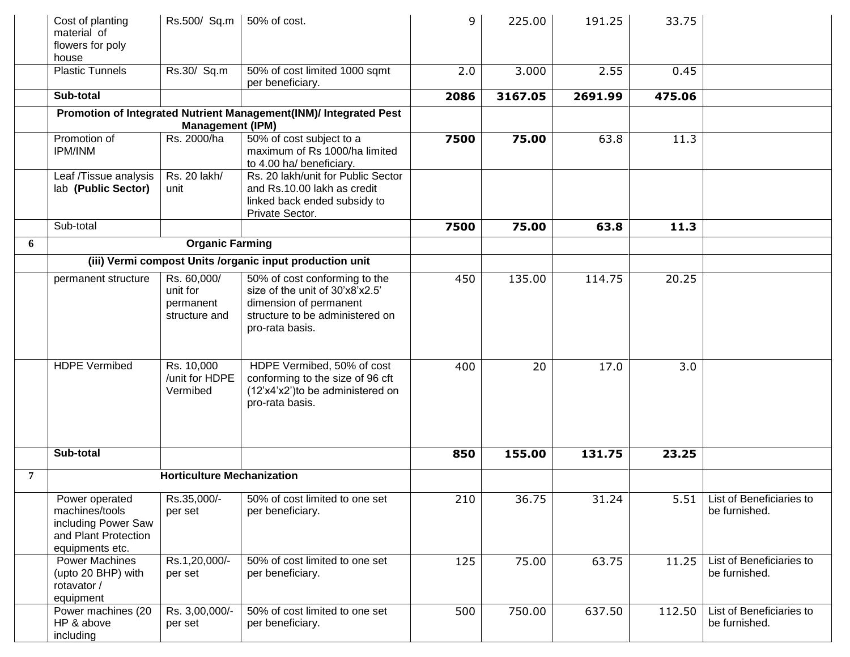|   | Cost of planting<br>material of<br>flowers for poly<br>house                                       | Rs.500/ Sq.m                                          | 50% of cost.                                                                                                                                     | 9    | 225.00  | 191.25  | 33.75  |                                           |
|---|----------------------------------------------------------------------------------------------------|-------------------------------------------------------|--------------------------------------------------------------------------------------------------------------------------------------------------|------|---------|---------|--------|-------------------------------------------|
|   | <b>Plastic Tunnels</b>                                                                             | Rs.30/ Sq.m                                           | 50% of cost limited 1000 sqmt<br>per beneficiary.                                                                                                | 2.0  | 3.000   | 2.55    | 0.45   |                                           |
|   | Sub-total                                                                                          |                                                       |                                                                                                                                                  | 2086 | 3167.05 | 2691.99 | 475.06 |                                           |
|   |                                                                                                    | <b>Management (IPM)</b>                               | Promotion of Integrated Nutrient Management(INM)/ Integrated Pest                                                                                |      |         |         |        |                                           |
|   | Promotion of<br><b>IPM/INM</b>                                                                     | Rs. 2000/ha                                           | 50% of cost subject to a<br>maximum of Rs 1000/ha limited<br>to 4.00 ha/ beneficiary.                                                            | 7500 | 75.00   | 63.8    | 11.3   |                                           |
|   | Leaf /Tissue analysis<br>lab (Public Sector)                                                       | Rs. 20 lakh/<br>unit                                  | Rs. 20 lakh/unit for Public Sector<br>and Rs.10.00 lakh as credit<br>linked back ended subsidy to<br>Private Sector.                             |      |         |         |        |                                           |
|   | Sub-total                                                                                          |                                                       |                                                                                                                                                  | 7500 | 75.00   | 63.8    | 11.3   |                                           |
| 6 |                                                                                                    | <b>Organic Farming</b>                                |                                                                                                                                                  |      |         |         |        |                                           |
|   |                                                                                                    |                                                       | (iii) Vermi compost Units /organic input production unit                                                                                         |      |         |         |        |                                           |
|   | permanent structure                                                                                | Rs. 60,000/<br>unit for<br>permanent<br>structure and | 50% of cost conforming to the<br>size of the unit of 30'x8'x2.5'<br>dimension of permanent<br>structure to be administered on<br>pro-rata basis. | 450  | 135.00  | 114.75  | 20.25  |                                           |
|   | <b>HDPE Vermibed</b>                                                                               | Rs. 10,000<br>/unit for HDPE<br>Vermibed              | HDPE Vermibed, 50% of cost<br>conforming to the size of 96 cft<br>(12'x4'x2') to be administered on<br>pro-rata basis.                           | 400  | 20      | 17.0    | 3.0    |                                           |
|   | Sub-total                                                                                          |                                                       |                                                                                                                                                  | 850  | 155.00  | 131.75  | 23.25  |                                           |
| 7 |                                                                                                    | <b>Horticulture Mechanization</b>                     |                                                                                                                                                  |      |         |         |        |                                           |
|   | Power operated<br>machines/tools<br>including Power Saw<br>and Plant Protection<br>equipments etc. | Rs.35,000/-<br>per set                                | 50% of cost limited to one set<br>per beneficiary.                                                                                               | 210  | 36.75   | 31.24   | 5.51   | List of Beneficiaries to<br>be furnished. |
|   | <b>Power Machines</b><br>(upto 20 BHP) with<br>rotavator /<br>equipment                            | Rs.1,20,000/-<br>per set                              | 50% of cost limited to one set<br>per beneficiary.                                                                                               | 125  | 75.00   | 63.75   | 11.25  | List of Beneficiaries to<br>be furnished. |
|   | Power machines (20<br>HP & above<br>including                                                      | Rs. 3,00,000/-<br>per set                             | 50% of cost limited to one set<br>per beneficiary.                                                                                               | 500  | 750.00  | 637.50  | 112.50 | List of Beneficiaries to<br>be furnished. |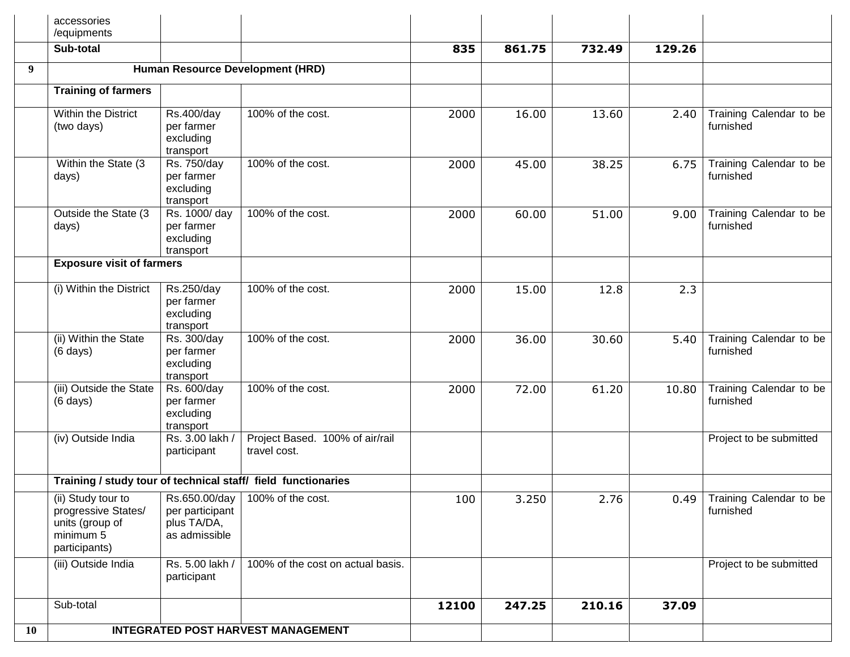|           | accessories<br>/equipments                                                                 |                                                                  |                                                               |       |        |        |        |                                             |
|-----------|--------------------------------------------------------------------------------------------|------------------------------------------------------------------|---------------------------------------------------------------|-------|--------|--------|--------|---------------------------------------------|
|           | Sub-total                                                                                  |                                                                  |                                                               | 835   | 861.75 | 732.49 | 129.26 |                                             |
| 9         |                                                                                            |                                                                  | Human Resource Development (HRD)                              |       |        |        |        |                                             |
|           | <b>Training of farmers</b>                                                                 |                                                                  |                                                               |       |        |        |        |                                             |
|           | <b>Within the District</b><br>(two days)                                                   | <b>Rs.400/day</b><br>per farmer<br>excluding<br>transport        | 100% of the cost.                                             | 2000  | 16.00  | 13.60  | 2.40   | Training Calendar to be<br>furnished        |
|           | Within the State (3)<br>days)                                                              | Rs. 750/day<br>per farmer<br>excluding<br>transport              | 100% of the cost.                                             | 2000  | 45.00  | 38.25  | 6.75   | Training Calendar to be<br>furnished        |
|           | Outside the State (3<br>days)                                                              | Rs. 1000/day<br>per farmer<br>excluding<br>transport             | 100% of the cost.                                             | 2000  | 60.00  | 51.00  | 9.00   | Training Calendar to be<br>furnished        |
|           | <b>Exposure visit of farmers</b>                                                           |                                                                  |                                                               |       |        |        |        |                                             |
|           | (i) Within the District                                                                    | Rs.250/day<br>per farmer<br>excluding<br>transport               | 100% of the cost.                                             | 2000  | 15.00  | 12.8   | 2.3    |                                             |
|           | (ii) Within the State<br>$(6 \text{ days})$                                                | Rs. 300/day<br>per farmer<br>excluding<br>transport              | 100% of the cost.                                             | 2000  | 36.00  | 30.60  | 5.40   | Training Calendar to be<br>furnished        |
|           | (iii) Outside the State<br>$(6 \text{ days})$                                              | Rs. 600/day<br>per farmer<br>excluding<br>transport              | 100% of the cost.                                             | 2000  | 72.00  | 61.20  | 10.80  | Training Calendar to be<br>furnished        |
|           | (iv) Outside India                                                                         | Rs. 3.00 lakh /<br>participant                                   | Project Based. 100% of air/rail<br>travel cost.               |       |        |        |        | Project to be submitted                     |
|           |                                                                                            |                                                                  | Training / study tour of technical staff/ field functionaries |       |        |        |        |                                             |
|           | (ii) Study tour to<br>progressive States/<br>units (group of<br>minimum 5<br>participants) | Rs.650.00/day<br>per participant<br>plus TA/DA,<br>as admissible | 100% of the cost.                                             | 100   | 3.250  | 2.76   |        | 0.49   Training Calendar to be<br>furnished |
|           | (iii) Outside India                                                                        | Rs. 5.00 lakh /<br>participant                                   | 100% of the cost on actual basis.                             |       |        |        |        | Project to be submitted                     |
|           | Sub-total                                                                                  |                                                                  |                                                               | 12100 | 247.25 | 210.16 | 37.09  |                                             |
| <b>10</b> |                                                                                            |                                                                  | <b>INTEGRATED POST HARVEST MANAGEMENT</b>                     |       |        |        |        |                                             |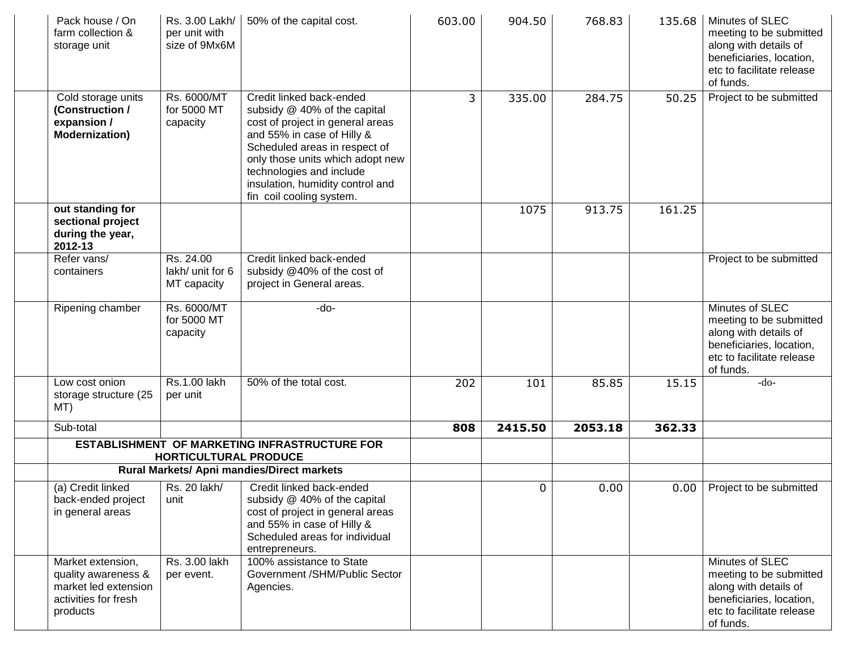| Pack house / On<br>farm collection &<br>storage unit                                                 | Rs. 3.00 Lakh/<br>per unit with<br>size of 9Mx6M | 50% of the capital cost.                                                                                                                                                                                                                                                                    | 603.00 | 904.50  | 768.83  | 135.68 | Minutes of SLEC<br>meeting to be submitted<br>along with details of<br>beneficiaries, location,<br>etc to facilitate release<br>of funds. |
|------------------------------------------------------------------------------------------------------|--------------------------------------------------|---------------------------------------------------------------------------------------------------------------------------------------------------------------------------------------------------------------------------------------------------------------------------------------------|--------|---------|---------|--------|-------------------------------------------------------------------------------------------------------------------------------------------|
| Cold storage units<br>(Construction /<br>expansion /<br><b>Modernization)</b>                        | Rs. 6000/MT<br>for 5000 MT<br>capacity           | Credit linked back-ended<br>subsidy @ 40% of the capital<br>cost of project in general areas<br>and 55% in case of Hilly &<br>Scheduled areas in respect of<br>only those units which adopt new<br>technologies and include<br>insulation, humidity control and<br>fin coil cooling system. | 3      | 335.00  | 284.75  | 50.25  | Project to be submitted                                                                                                                   |
| out standing for<br>sectional project<br>during the year,<br>2012-13                                 |                                                  |                                                                                                                                                                                                                                                                                             |        | 1075    | 913.75  | 161.25 |                                                                                                                                           |
| Refer vans/<br>containers                                                                            | Rs. 24.00<br>lakh/ unit for 6<br>MT capacity     | Credit linked back-ended<br>subsidy @40% of the cost of<br>project in General areas.                                                                                                                                                                                                        |        |         |         |        | Project to be submitted                                                                                                                   |
| Ripening chamber                                                                                     | Rs. 6000/MT<br>for 5000 MT<br>capacity           | -do-                                                                                                                                                                                                                                                                                        |        |         |         |        | Minutes of SLEC<br>meeting to be submitted<br>along with details of<br>beneficiaries, location,<br>etc to facilitate release<br>of funds. |
| Low cost onion<br>storage structure (25<br>MT)                                                       | Rs.1.00 lakh<br>per unit                         | 50% of the total cost.                                                                                                                                                                                                                                                                      | 202    | 101     | 85.85   | 15.15  | $-do-$                                                                                                                                    |
| Sub-total                                                                                            |                                                  |                                                                                                                                                                                                                                                                                             | 808    | 2415.50 | 2053.18 | 362.33 |                                                                                                                                           |
|                                                                                                      | HORTICULTURAL PRODUCE                            | ESTABLISHMENT OF MARKETING INFRASTRUCTURE FOR                                                                                                                                                                                                                                               |        |         |         |        |                                                                                                                                           |
|                                                                                                      |                                                  | Rural Markets/ Apni mandies/Direct markets                                                                                                                                                                                                                                                  |        |         |         |        |                                                                                                                                           |
| (a) Credit linked<br>back-ended project<br>in general areas                                          | Rs. 20 lakh/<br>unit                             | Credit linked back-ended<br>subsidy @ 40% of the capital<br>cost of project in general areas<br>and 55% in case of Hilly &<br>Scheduled areas for individual<br>entrepreneurs.                                                                                                              |        | 0       | 0.00    | 0.00   | Project to be submitted                                                                                                                   |
| Market extension,<br>quality awareness &<br>market led extension<br>activities for fresh<br>products | Rs. 3.00 lakh<br>per event.                      | 100% assistance to State<br>Government /SHM/Public Sector<br>Agencies.                                                                                                                                                                                                                      |        |         |         |        | Minutes of SLEC<br>meeting to be submitted<br>along with details of<br>beneficiaries, location,<br>etc to facilitate release<br>of funds. |